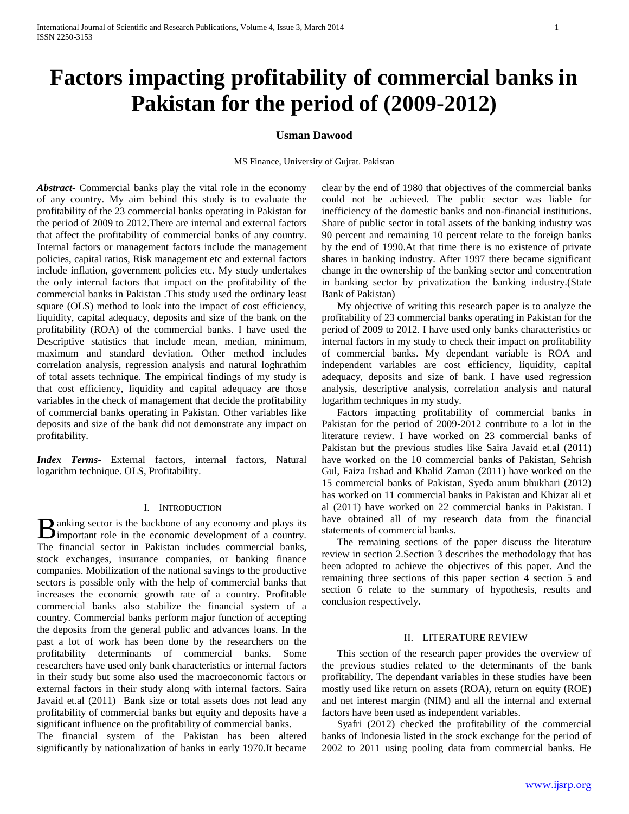# **Factors impacting profitability of commercial banks in Pakistan for the period of (2009-2012)**

## **Usman Dawood**

MS Finance, University of Gujrat. Pakistan

*Abstract***-** Commercial banks play the vital role in the economy of any country. My aim behind this study is to evaluate the profitability of the 23 commercial banks operating in Pakistan for the period of 2009 to 2012.There are internal and external factors that affect the profitability of commercial banks of any country. Internal factors or management factors include the management policies, capital ratios, Risk management etc and external factors include inflation, government policies etc. My study undertakes the only internal factors that impact on the profitability of the commercial banks in Pakistan .This study used the ordinary least square (OLS) method to look into the impact of cost efficiency, liquidity, capital adequacy, deposits and size of the bank on the profitability (ROA) of the commercial banks. I have used the Descriptive statistics that include mean, median, minimum, maximum and standard deviation. Other method includes correlation analysis, regression analysis and natural loghrathim of total assets technique. The empirical findings of my study is that cost efficiency, liquidity and capital adequacy are those variables in the check of management that decide the profitability of commercial banks operating in Pakistan. Other variables like deposits and size of the bank did not demonstrate any impact on profitability.

*Index Terms*- External factors, internal factors, Natural logarithm technique. OLS, Profitability.

## I. INTRODUCTION

anking sector is the backbone of any economy and plays its **B** anking sector is the backbone of any economy and plays its important role in the economic development of a country. The financial sector in Pakistan includes commercial banks, stock exchanges, insurance companies, or banking finance companies. Mobilization of the national savings to the productive sectors is possible only with the help of commercial banks that increases the economic growth rate of a country. Profitable commercial banks also stabilize the financial system of a country. Commercial banks perform major function of accepting the deposits from the general public and advances loans. In the past a lot of work has been done by the researchers on the profitability determinants of commercial banks. Some researchers have used only bank characteristics or internal factors in their study but some also used the macroeconomic factors or external factors in their study along with internal factors. Saira Javaid et.al (2011) Bank size or total assets does not lead any profitability of commercial banks but equity and deposits have a significant influence on the profitability of commercial banks.

The financial system of the Pakistan has been altered significantly by nationalization of banks in early 1970.It became clear by the end of 1980 that objectives of the commercial banks could not be achieved. The public sector was liable for inefficiency of the domestic banks and non-financial institutions. Share of public sector in total assets of the banking industry was 90 percent and remaining 10 percent relate to the foreign banks by the end of 1990.At that time there is no existence of private shares in banking industry. After 1997 there became significant change in the ownership of the banking sector and concentration in banking sector by privatization the banking industry.(State Bank of Pakistan)

 My objective of writing this research paper is to analyze the profitability of 23 commercial banks operating in Pakistan for the period of 2009 to 2012. I have used only banks characteristics or internal factors in my study to check their impact on profitability of commercial banks. My dependant variable is ROA and independent variables are cost efficiency, liquidity, capital adequacy, deposits and size of bank. I have used regression analysis, descriptive analysis, correlation analysis and natural logarithm techniques in my study.

 Factors impacting profitability of commercial banks in Pakistan for the period of 2009-2012 contribute to a lot in the literature review. I have worked on 23 commercial banks of Pakistan but the previous studies like Saira Javaid et.al (2011) have worked on the 10 commercial banks of Pakistan, Sehrish Gul, Faiza Irshad and Khalid Zaman (2011) have worked on the 15 commercial banks of Pakistan, Syeda anum bhukhari (2012) has worked on 11 commercial banks in Pakistan and Khizar ali et al (2011) have worked on 22 commercial banks in Pakistan. I have obtained all of my research data from the financial statements of commercial banks.

 The remaining sections of the paper discuss the literature review in section 2.Section 3 describes the methodology that has been adopted to achieve the objectives of this paper. And the remaining three sections of this paper section 4 section 5 and section  $\overline{6}$  relate to the summary of hypothesis, results and conclusion respectively.

#### II. LITERATURE REVIEW

 This section of the research paper provides the overview of the previous studies related to the determinants of the bank profitability. The dependant variables in these studies have been mostly used like return on assets (ROA), return on equity (ROE) and net interest margin (NIM) and all the internal and external factors have been used as independent variables.

 Syafri (2012) checked the profitability of the commercial banks of Indonesia listed in the stock exchange for the period of 2002 to 2011 using pooling data from commercial banks. He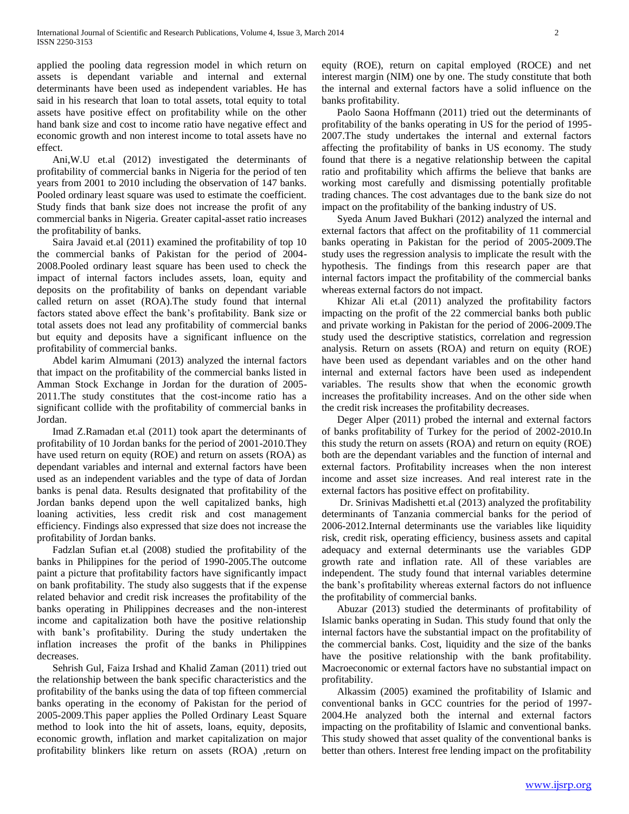applied the pooling data regression model in which return on assets is dependant variable and internal and external determinants have been used as independent variables. He has said in his research that loan to total assets, total equity to total assets have positive effect on profitability while on the other hand bank size and cost to income ratio have negative effect and economic growth and non interest income to total assets have no effect.

 Ani,W.U et.al (2012) investigated the determinants of profitability of commercial banks in Nigeria for the period of ten years from 2001 to 2010 including the observation of 147 banks. Pooled ordinary least square was used to estimate the coefficient. Study finds that bank size does not increase the profit of any commercial banks in Nigeria. Greater capital-asset ratio increases the profitability of banks.

 Saira Javaid et.al (2011) examined the profitability of top 10 the commercial banks of Pakistan for the period of 2004- 2008.Pooled ordinary least square has been used to check the impact of internal factors includes assets, loan, equity and deposits on the profitability of banks on dependant variable called return on asset (ROA).The study found that internal factors stated above effect the bank's profitability. Bank size or total assets does not lead any profitability of commercial banks but equity and deposits have a significant influence on the profitability of commercial banks.

 Abdel karim Almumani (2013) analyzed the internal factors that impact on the profitability of the commercial banks listed in Amman Stock Exchange in Jordan for the duration of 2005- 2011.The study constitutes that the cost-income ratio has a significant collide with the profitability of commercial banks in Jordan.

 Imad Z.Ramadan et.al (2011) took apart the determinants of profitability of 10 Jordan banks for the period of 2001-2010.They have used return on equity (ROE) and return on assets (ROA) as dependant variables and internal and external factors have been used as an independent variables and the type of data of Jordan banks is penal data. Results designated that profitability of the Jordan banks depend upon the well capitalized banks, high loaning activities, less credit risk and cost management efficiency. Findings also expressed that size does not increase the profitability of Jordan banks.

 Fadzlan Sufian et.al (2008) studied the profitability of the banks in Philippines for the period of 1990-2005.The outcome paint a picture that profitability factors have significantly impact on bank profitability. The study also suggests that if the expense related behavior and credit risk increases the profitability of the banks operating in Philippines decreases and the non-interest income and capitalization both have the positive relationship with bank's profitability. During the study undertaken the inflation increases the profit of the banks in Philippines decreases.

 Sehrish Gul, Faiza Irshad and Khalid Zaman (2011) tried out the relationship between the bank specific characteristics and the profitability of the banks using the data of top fifteen commercial banks operating in the economy of Pakistan for the period of 2005-2009.This paper applies the Polled Ordinary Least Square method to look into the hit of assets, loans, equity, deposits, economic growth, inflation and market capitalization on major profitability blinkers like return on assets (ROA) ,return on

equity (ROE), return on capital employed (ROCE) and net interest margin (NIM) one by one. The study constitute that both the internal and external factors have a solid influence on the banks profitability.

 Paolo Saona Hoffmann (2011) tried out the determinants of profitability of the banks operating in US for the period of 1995- 2007.The study undertakes the internal and external factors affecting the profitability of banks in US economy. The study found that there is a negative relationship between the capital ratio and profitability which affirms the believe that banks are working most carefully and dismissing potentially profitable trading chances. The cost advantages due to the bank size do not impact on the profitability of the banking industry of US.

 Syeda Anum Javed Bukhari (2012) analyzed the internal and external factors that affect on the profitability of 11 commercial banks operating in Pakistan for the period of 2005-2009.The study uses the regression analysis to implicate the result with the hypothesis. The findings from this research paper are that internal factors impact the profitability of the commercial banks whereas external factors do not impact.

 Khizar Ali et.al (2011) analyzed the profitability factors impacting on the profit of the 22 commercial banks both public and private working in Pakistan for the period of 2006-2009.The study used the descriptive statistics, correlation and regression analysis. Return on assets (ROA) and return on equity (ROE) have been used as dependant variables and on the other hand internal and external factors have been used as independent variables. The results show that when the economic growth increases the profitability increases. And on the other side when the credit risk increases the profitability decreases.

 Deger Alper (2011) probed the internal and external factors of banks profitability of Turkey for the period of 2002-2010.In this study the return on assets (ROA) and return on equity (ROE) both are the dependant variables and the function of internal and external factors. Profitability increases when the non interest income and asset size increases. And real interest rate in the external factors has positive effect on profitability.

 Dr. Srinivas Madishetti et.al (2013) analyzed the profitability determinants of Tanzania commercial banks for the period of 2006-2012.Internal determinants use the variables like liquidity risk, credit risk, operating efficiency, business assets and capital adequacy and external determinants use the variables GDP growth rate and inflation rate. All of these variables are independent. The study found that internal variables determine the bank's profitability whereas external factors do not influence the profitability of commercial banks.

 Abuzar (2013) studied the determinants of profitability of Islamic banks operating in Sudan. This study found that only the internal factors have the substantial impact on the profitability of the commercial banks. Cost, liquidity and the size of the banks have the positive relationship with the bank profitability. Macroeconomic or external factors have no substantial impact on profitability.

 Alkassim (2005) examined the profitability of Islamic and conventional banks in GCC countries for the period of 1997- 2004.He analyzed both the internal and external factors impacting on the profitability of Islamic and conventional banks. This study showed that asset quality of the conventional banks is better than others. Interest free lending impact on the profitability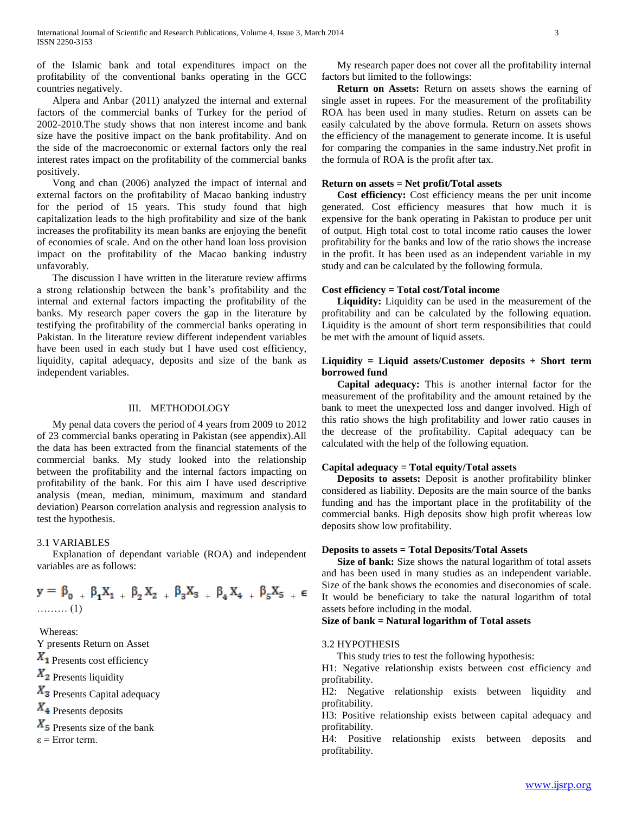of the Islamic bank and total expenditures impact on the profitability of the conventional banks operating in the GCC countries negatively.

 Alpera and Anbar (2011) analyzed the internal and external factors of the commercial banks of Turkey for the period of 2002-2010.The study shows that non interest income and bank size have the positive impact on the bank profitability. And on the side of the macroeconomic or external factors only the real interest rates impact on the profitability of the commercial banks positively.

 Vong and chan (2006) analyzed the impact of internal and external factors on the profitability of Macao banking industry for the period of 15 years. This study found that high capitalization leads to the high profitability and size of the bank increases the profitability its mean banks are enjoying the benefit of economies of scale. And on the other hand loan loss provision impact on the profitability of the Macao banking industry unfavorably.

 The discussion I have written in the literature review affirms a strong relationship between the bank's profitability and the internal and external factors impacting the profitability of the banks. My research paper covers the gap in the literature by testifying the profitability of the commercial banks operating in Pakistan. In the literature review different independent variables have been used in each study but I have used cost efficiency, liquidity, capital adequacy, deposits and size of the bank as independent variables.

## III. METHODOLOGY

 My penal data covers the period of 4 years from 2009 to 2012 of 23 commercial banks operating in Pakistan (see appendix).All the data has been extracted from the financial statements of the commercial banks. My study looked into the relationship between the profitability and the internal factors impacting on profitability of the bank. For this aim I have used descriptive analysis (mean, median, minimum, maximum and standard deviation) Pearson correlation analysis and regression analysis to test the hypothesis.

#### 3.1 VARIABLES

 Explanation of dependant variable (ROA) and independent variables are as follows:

$$
y = \beta_{0} + \beta_{1}X_{1} + \beta_{2}X_{2} + \beta_{3}X_{3} + \beta_{4}X_{4} + \beta_{5}X_{5} + \epsilon
$$
  
........(1)

Whereas:

Y presents Return on Asset

 $X_1$  Presents cost efficiency

 $X_2$  Presents liquidity

 $X_3$  Presents Capital adequacy

 $X_4$  Presents deposits

 $X<sub>5</sub>$  Presents size of the bank

 $\varepsilon$  = Error term.

 My research paper does not cover all the profitability internal factors but limited to the followings:

 **Return on Assets:** Return on assets shows the earning of single asset in rupees. For the measurement of the profitability ROA has been used in many studies. Return on assets can be easily calculated by the above formula. Return on assets shows the efficiency of the management to generate income. It is useful for comparing the companies in the same industry.Net profit in the formula of ROA is the profit after tax.

# **Return on assets = Net profit/Total assets**

 **Cost efficiency:** Cost efficiency means the per unit income generated. Cost efficiency measures that how much it is expensive for the bank operating in Pakistan to produce per unit of output. High total cost to total income ratio causes the lower profitability for the banks and low of the ratio shows the increase in the profit. It has been used as an independent variable in my study and can be calculated by the following formula.

#### **Cost efficiency = Total cost/Total income**

 **Liquidity:** Liquidity can be used in the measurement of the profitability and can be calculated by the following equation. Liquidity is the amount of short term responsibilities that could be met with the amount of liquid assets.

## **Liquidity = Liquid assets/Customer deposits + Short term borrowed fund**

 **Capital adequacy:** This is another internal factor for the measurement of the profitability and the amount retained by the bank to meet the unexpected loss and danger involved. High of this ratio shows the high profitability and lower ratio causes in the decrease of the profitability. Capital adequacy can be calculated with the help of the following equation.

#### **Capital adequacy = Total equity/Total assets**

 **Deposits to assets:** Deposit is another profitability blinker considered as liability. Deposits are the main source of the banks funding and has the important place in the profitability of the commercial banks. High deposits show high profit whereas low deposits show low profitability.

#### **Deposits to assets = Total Deposits/Total Assets**

 **Size of bank:** Size shows the natural logarithm of total assets and has been used in many studies as an independent variable. Size of the bank shows the economies and diseconomies of scale. It would be beneficiary to take the natural logarithm of total assets before including in the modal.

# **Size of bank = Natural logarithm of Total assets**

## 3.2 HYPOTHESIS

This study tries to test the following hypothesis:

H1: Negative relationship exists between cost efficiency and profitability.

H2: Negative relationship exists between liquidity and profitability.

H3: Positive relationship exists between capital adequacy and profitability.

H4: Positive relationship exists between deposits and profitability.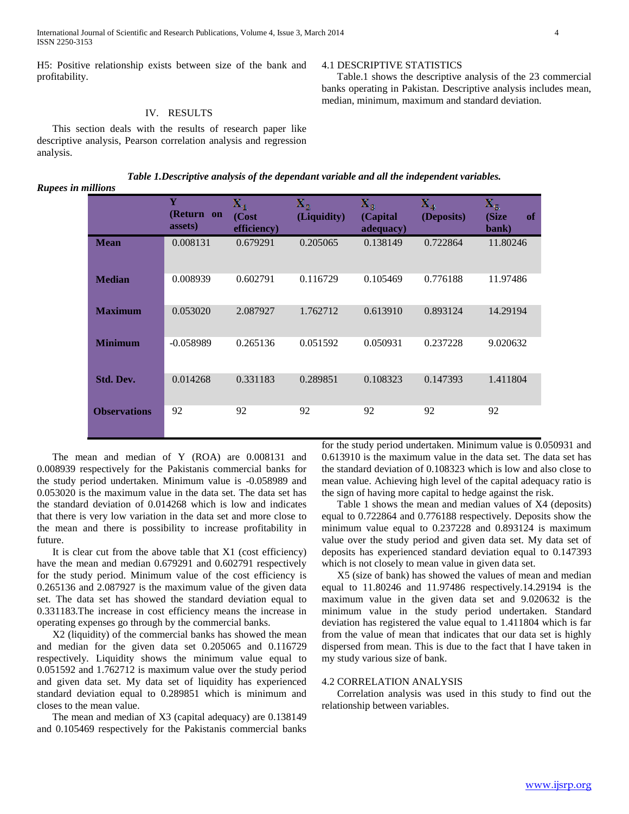H5: Positive relationship exists between size of the bank and profitability.

#### 4.1 DESCRIPTIVE STATISTICS

 Table.1 shows the descriptive analysis of the 23 commercial banks operating in Pakistan. Descriptive analysis includes mean, median, minimum, maximum and standard deviation.

# IV. RESULTS

 This section deals with the results of research paper like descriptive analysis, Pearson correlation analysis and regression analysis.

*Rupees in millions*

|                     | Y<br>(Return on<br>assets) | $\mathbf{x}_4$<br>(Cost)<br>efficiency) | $\mathbf{X}_2$<br>(Liquidity) | $\mathbf{x}_s$<br>(Capital)<br>adequacy) | $\mathbf{x}_4$<br>(Deposits) | $\mathbf{x}_{\mathbf{s}}$<br>(Size<br>of<br>bank) |
|---------------------|----------------------------|-----------------------------------------|-------------------------------|------------------------------------------|------------------------------|---------------------------------------------------|
| <b>Mean</b>         | 0.008131                   | 0.679291                                | 0.205065                      | 0.138149                                 | 0.722864                     | 11.80246                                          |
| <b>Median</b>       | 0.008939                   | 0.602791                                | 0.116729                      | 0.105469                                 | 0.776188                     | 11.97486                                          |
| <b>Maximum</b>      | 0.053020                   | 2.087927                                | 1.762712                      | 0.613910                                 | 0.893124                     | 14.29194                                          |
| <b>Minimum</b>      | $-0.058989$                | 0.265136                                | 0.051592                      | 0.050931                                 | 0.237228                     | 9.020632                                          |
| Std. Dev.           | 0.014268                   | 0.331183                                | 0.289851                      | 0.108323                                 | 0.147393                     | 1.411804                                          |
| <b>Observations</b> | 92                         | 92                                      | 92                            | 92                                       | 92                           | 92                                                |

 The mean and median of Y (ROA) are 0.008131 and 0.008939 respectively for the Pakistanis commercial banks for the study period undertaken. Minimum value is -0.058989 and 0.053020 is the maximum value in the data set. The data set has the standard deviation of 0.014268 which is low and indicates that there is very low variation in the data set and more close to the mean and there is possibility to increase profitability in future.

 It is clear cut from the above table that X1 (cost efficiency) have the mean and median 0.679291 and 0.602791 respectively for the study period. Minimum value of the cost efficiency is 0.265136 and 2.087927 is the maximum value of the given data set. The data set has showed the standard deviation equal to 0.331183.The increase in cost efficiency means the increase in operating expenses go through by the commercial banks.

 X2 (liquidity) of the commercial banks has showed the mean and median for the given data set 0.205065 and 0.116729 respectively. Liquidity shows the minimum value equal to 0.051592 and 1.762712 is maximum value over the study period and given data set. My data set of liquidity has experienced standard deviation equal to 0.289851 which is minimum and closes to the mean value.

 The mean and median of X3 (capital adequacy) are 0.138149 and 0.105469 respectively for the Pakistanis commercial banks for the study period undertaken. Minimum value is 0.050931 and 0.613910 is the maximum value in the data set. The data set has the standard deviation of 0.108323 which is low and also close to mean value. Achieving high level of the capital adequacy ratio is the sign of having more capital to hedge against the risk.

 Table 1 shows the mean and median values of X4 (deposits) equal to 0.722864 and 0.776188 respectively. Deposits show the minimum value equal to 0.237228 and 0.893124 is maximum value over the study period and given data set. My data set of deposits has experienced standard deviation equal to 0.147393 which is not closely to mean value in given data set.

 X5 (size of bank) has showed the values of mean and median equal to 11.80246 and 11.97486 respectively.14.29194 is the maximum value in the given data set and 9.020632 is the minimum value in the study period undertaken. Standard deviation has registered the value equal to 1.411804 which is far from the value of mean that indicates that our data set is highly dispersed from mean. This is due to the fact that I have taken in my study various size of bank.

### 4.2 CORRELATION ANALYSIS

 Correlation analysis was used in this study to find out the relationship between variables.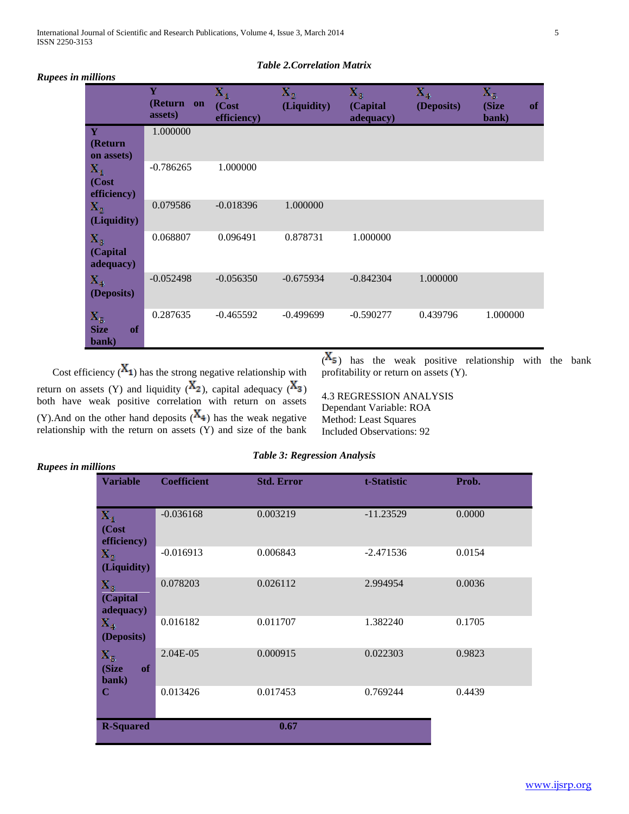International Journal of Scientific and Research Publications, Volume 4, Issue 3, March 2014 5 ISSN 2250-3153

### *Table 2.Correlation Matrix*

# *Rupees in millions*

|                              | Y<br>(Return<br>on<br>assets) | $\mathbf{x}_1$<br>(Cost<br>efficiency) | $\mathbf{x}_2$<br>(Liquidity) | $\mathbf{x}_3$<br>(Capital<br>adequacy) | $\mathbf{x}_4$<br>(Deposits) | $\mathbf{x}_{\mathrm{s}}$<br><b>of</b><br>(Size<br>bank) |
|------------------------------|-------------------------------|----------------------------------------|-------------------------------|-----------------------------------------|------------------------------|----------------------------------------------------------|
| Y                            | 1.000000                      |                                        |                               |                                         |                              |                                                          |
| (Return                      |                               |                                        |                               |                                         |                              |                                                          |
| on assets)<br>$\mathbf{x}_1$ | $-0.786265$                   | 1.000000                               |                               |                                         |                              |                                                          |
| (Cost                        |                               |                                        |                               |                                         |                              |                                                          |
| efficiency)                  |                               |                                        |                               |                                         |                              |                                                          |
| Х.,                          | 0.079586                      | $-0.018396$                            | 1.000000                      |                                         |                              |                                                          |
| (Liquidity)                  |                               |                                        |                               |                                         |                              |                                                          |
| $\mathbf{x}_a$               | 0.068807                      | 0.096491                               | 0.878731                      | 1.000000                                |                              |                                                          |
| (Capital                     |                               |                                        |                               |                                         |                              |                                                          |
| adequacy)                    |                               |                                        |                               |                                         |                              |                                                          |
| $\mathbf{x}_4$               | $-0.052498$                   | $-0.056350$                            | $-0.675934$                   | $-0.842304$                             | 1.000000                     |                                                          |
| (Deposits)                   |                               |                                        |                               |                                         |                              |                                                          |
| $\mathbf{x}_{\mathrm{s}}$    | 0.287635                      | $-0.465592$                            | $-0.499699$                   | $-0.590277$                             | 0.439796                     | 1.000000                                                 |
| <b>Size</b><br>of            |                               |                                        |                               |                                         |                              |                                                          |
| bank)                        |                               |                                        |                               |                                         |                              |                                                          |

Cost efficiency  $(X_1)$  has the strong negative relationship with return on assets (Y) and liquidity  $(X_2)$ , capital adequacy  $(X_3)$ both have weak positive correlation with return on assets (Y). And on the other hand deposits  $(X_4)$  has the weak negative relationship with the return on assets (Y) and size of the bank  $(X_5)$  has the weak positive relationship with the bank profitability or return on assets (Y).

4.3 REGRESSION ANALYSIS Dependant Variable: ROA Method: Least Squares Included Observations: 92

| uuvns                                             |                    |                   |             |        |
|---------------------------------------------------|--------------------|-------------------|-------------|--------|
| <b>Variable</b>                                   | <b>Coefficient</b> | <b>Std. Error</b> | t-Statistic | Prob.  |
| $\mathbf{x}_1$<br>(Cost<br>efficiency)            | $-0.036168$        | 0.003219          | $-11.23529$ | 0.0000 |
| $\mathbf{x}_2$<br>(Liquidity)                     | $-0.016913$        | 0.006843          | $-2.471536$ | 0.0154 |
| $\mathbf{x}_s$<br>(Capital<br>adequacy)           | 0.078203           | 0.026112          | 2.994954    | 0.0036 |
| $\mathbf{x}_4$<br>(Deposits)                      | 0.016182           | 0.011707          | 1.382240    | 0.1705 |
| $\mathbf{x}_{\mathrm{s}}$<br>(Size<br>of<br>bank) | 2.04E-05           | 0.000915          | 0.022303    | 0.9823 |
| $\mathbf C$                                       | 0.013426           | 0.017453          | 0.769244    | 0.4439 |
| <b>R-Squared</b>                                  |                    | 0.67              |             |        |

# *Rupees in millions*

#### *Table 3: Regression Analysis*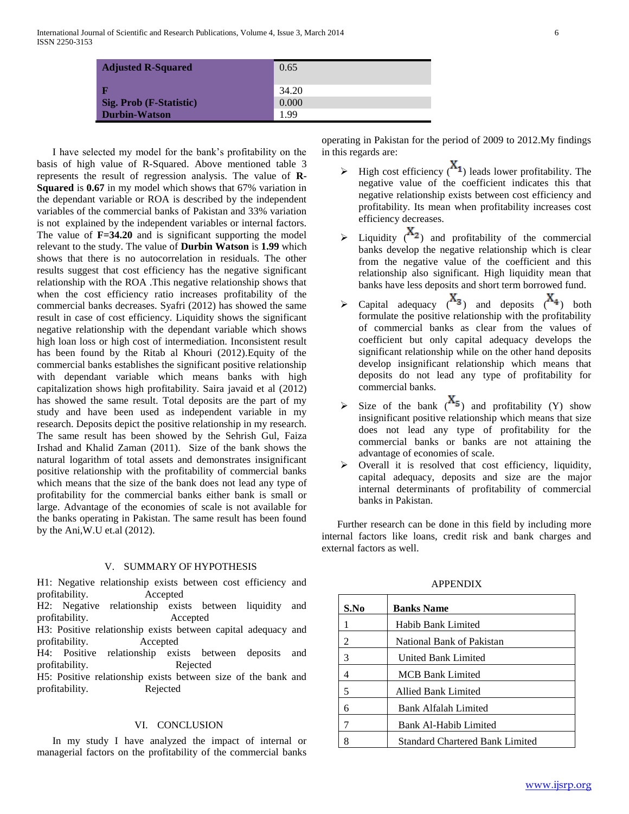| <b>Adjusted R-Squared</b>                       | 0.65          |
|-------------------------------------------------|---------------|
|                                                 | 34.20         |
| Sig. Prob (F-Statistic)<br><b>Durbin-Watson</b> | 0.000<br>1.99 |

 I have selected my model for the bank's profitability on the basis of high value of R-Squared. Above mentioned table 3 represents the result of regression analysis. The value of **R-Squared** is **0.67** in my model which shows that 67% variation in the dependant variable or ROA is described by the independent variables of the commercial banks of Pakistan and 33% variation is not explained by the independent variables or internal factors. The value of **F=34.20** and is significant supporting the model relevant to the study. The value of **Durbin Watson** is **1.99** which shows that there is no autocorrelation in residuals. The other results suggest that cost efficiency has the negative significant relationship with the ROA .This negative relationship shows that when the cost efficiency ratio increases profitability of the commercial banks decreases. Syafri (2012) has showed the same result in case of cost efficiency. Liquidity shows the significant negative relationship with the dependant variable which shows high loan loss or high cost of intermediation. Inconsistent result has been found by the Ritab al Khouri (2012).Equity of the commercial banks establishes the significant positive relationship with dependant variable which means banks with high capitalization shows high profitability. Saira javaid et al (2012) has showed the same result. Total deposits are the part of my study and have been used as independent variable in my research. Deposits depict the positive relationship in my research. The same result has been showed by the Sehrish Gul, Faiza Irshad and Khalid Zaman (2011). Size of the bank shows the natural logarithm of total assets and demonstrates insignificant positive relationship with the profitability of commercial banks which means that the size of the bank does not lead any type of profitability for the commercial banks either bank is small or large. Advantage of the economies of scale is not available for the banks operating in Pakistan. The same result has been found by the Ani,W.U et.al (2012).

#### V. SUMMARY OF HYPOTHESIS

H1: Negative relationship exists between cost efficiency and profitability. Accepted

H2: Negative relationship exists between liquidity and profitability. Accepted

H3: Positive relationship exists between capital adequacy and profitability. Accepted

H4: Positive relationship exists between deposits and profitability. Rejected

H5: Positive relationship exists between size of the bank and profitability. Rejected

#### VI. CONCLUSION

 In my study I have analyzed the impact of internal or managerial factors on the profitability of the commercial banks operating in Pakistan for the period of 2009 to 2012.My findings in this regards are:

- High cost efficiency  $(X_1)$  leads lower profitability. The negative value of the coefficient indicates this that negative relationship exists between cost efficiency and profitability. Its mean when profitability increases cost efficiency decreases.
- $\triangleright$  Liquidity ( $X_2$ ) and profitability of the commercial banks develop the negative relationship which is clear from the negative value of the coefficient and this relationship also significant. High liquidity mean that banks have less deposits and short term borrowed fund.
- Capital adequacy  $(X_3)$  and deposits  $(X_4)$  both formulate the positive relationship with the profitability of commercial banks as clear from the values of coefficient but only capital adequacy develops the significant relationship while on the other hand deposits develop insignificant relationship which means that deposits do not lead any type of profitability for commercial banks.
- Size of the bank  $(X_5)$  and profitability (Y) show insignificant positive relationship which means that size does not lead any type of profitability for the commercial banks or banks are not attaining the advantage of economies of scale.
- $\triangleright$  Overall it is resolved that cost efficiency, liquidity, capital adequacy, deposits and size are the major internal determinants of profitability of commercial banks in Pakistan.

 Further research can be done in this field by including more internal factors like loans, credit risk and bank charges and external factors as well.

APPENDIX

| S.No           | <b>Banks Name</b>                      |
|----------------|----------------------------------------|
|                | Habib Bank Limited                     |
| $\mathfrak{D}$ | National Bank of Pakistan              |
| 3              | United Bank Limited                    |
| 4              | <b>MCB Bank Limited</b>                |
| 5              | <b>Allied Bank Limited</b>             |
| 6              | Bank Alfalah Limited                   |
|                | Bank Al-Habib Limited                  |
|                | <b>Standard Chartered Bank Limited</b> |